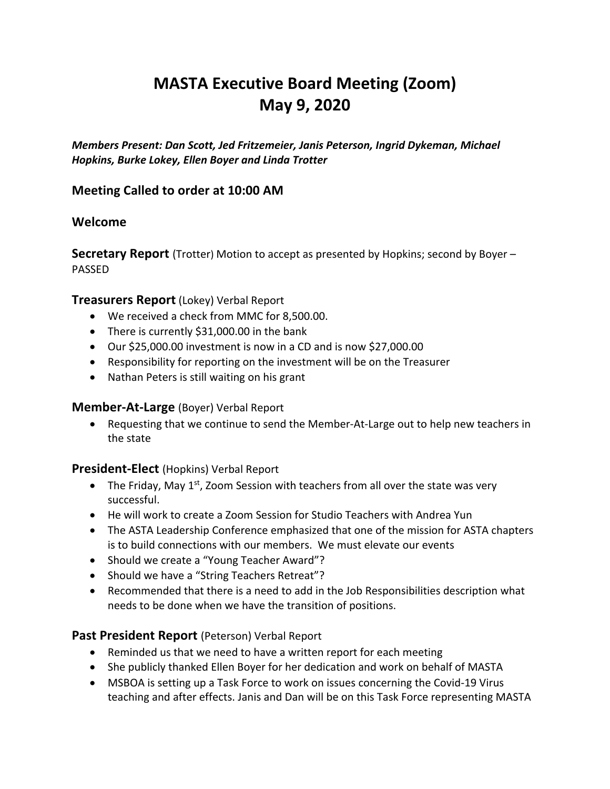# **MASTA Executive Board Meeting (Zoom) May 9, 2020**

*Members Present: Dan Scott, Jed Fritzemeier, Janis Peterson, Ingrid Dykeman, Michael Hopkins, Burke Lokey, Ellen Boyer and Linda Trotter*

# **Meeting Called to order at 10:00 AM**

### **Welcome**

**Secretary Report** (Trotter) Motion to accept as presented by Hopkins; second by Boyer – PASSED

### **Treasurers Report** (Lokey) Verbal Report

- We received a check from MMC for 8,500.00.
- There is currently \$31,000.00 in the bank
- Our \$25,000.00 investment is now in a CD and is now \$27,000.00
- Responsibility for reporting on the investment will be on the Treasurer
- Nathan Peters is still waiting on his grant

### **Member-At-Large** (Boyer) Verbal Report

• Requesting that we continue to send the Member-At-Large out to help new teachers in the state

### **President-Elect** (Hopkins) Verbal Report

- The Friday, May  $1^{st}$ , Zoom Session with teachers from all over the state was very successful.
- He will work to create a Zoom Session for Studio Teachers with Andrea Yun
- The ASTA Leadership Conference emphasized that one of the mission for ASTA chapters is to build connections with our members. We must elevate our events
- Should we create a "Young Teacher Award"?
- Should we have a "String Teachers Retreat"?
- Recommended that there is a need to add in the Job Responsibilities description what needs to be done when we have the transition of positions.

### **Past President Report** (Peterson) Verbal Report

- Reminded us that we need to have a written report for each meeting
- She publicly thanked Ellen Boyer for her dedication and work on behalf of MASTA
- MSBOA is setting up a Task Force to work on issues concerning the Covid-19 Virus teaching and after effects. Janis and Dan will be on this Task Force representing MASTA